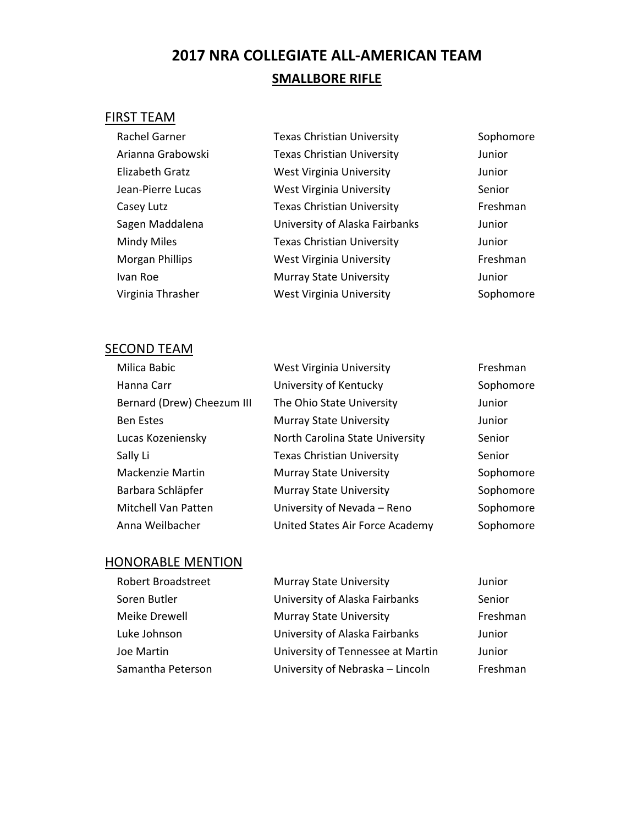# **2017 NRA COLLEGIATE ALL-AMERICAN TEAM SMALLBORE RIFLE**

## FIRST TEAM

| Rachel Garner          | <b>Texas Christian University</b> | Sophomore |
|------------------------|-----------------------------------|-----------|
| Arianna Grabowski      | <b>Texas Christian University</b> | Junior    |
| Elizabeth Gratz        | West Virginia University          | Junior    |
| Jean-Pierre Lucas      | <b>West Virginia University</b>   | Senior    |
| Casey Lutz             | <b>Texas Christian University</b> | Freshman  |
| Sagen Maddalena        | University of Alaska Fairbanks    | Junior    |
| <b>Mindy Miles</b>     | <b>Texas Christian University</b> | Junior    |
| <b>Morgan Phillips</b> | West Virginia University          | Freshman  |
| Ivan Roe               | <b>Murray State University</b>    | Junior    |
| Virginia Thrasher      | West Virginia University          | Sophomore |

## **SECOND TEAM**

| Milica Babic               | West Virginia University          | Freshman  |
|----------------------------|-----------------------------------|-----------|
| Hanna Carr                 | University of Kentucky            | Sophomore |
| Bernard (Drew) Cheezum III | The Ohio State University         | Junior    |
| <b>Ben Estes</b>           | <b>Murray State University</b>    | Junior    |
| Lucas Kozeniensky          | North Carolina State University   | Senior    |
| Sally Li                   | <b>Texas Christian University</b> | Senior    |
| Mackenzie Martin           | <b>Murray State University</b>    | Sophomore |
| Barbara Schläpfer          | <b>Murray State University</b>    | Sophomore |
| <b>Mitchell Van Patten</b> | University of Nevada - Reno       | Sophomore |
| Anna Weilbacher            | United States Air Force Academy   | Sophomore |

| <b>Robert Broadstreet</b> | <b>Murray State University</b>    | Junior   |
|---------------------------|-----------------------------------|----------|
| Soren Butler              | University of Alaska Fairbanks    | Senior   |
| Meike Drewell             | <b>Murray State University</b>    | Freshman |
| Luke Johnson              | University of Alaska Fairbanks    | Junior   |
| Joe Martin                | University of Tennessee at Martin | Junior   |
| Samantha Peterson         | University of Nebraska - Lincoln  | Freshman |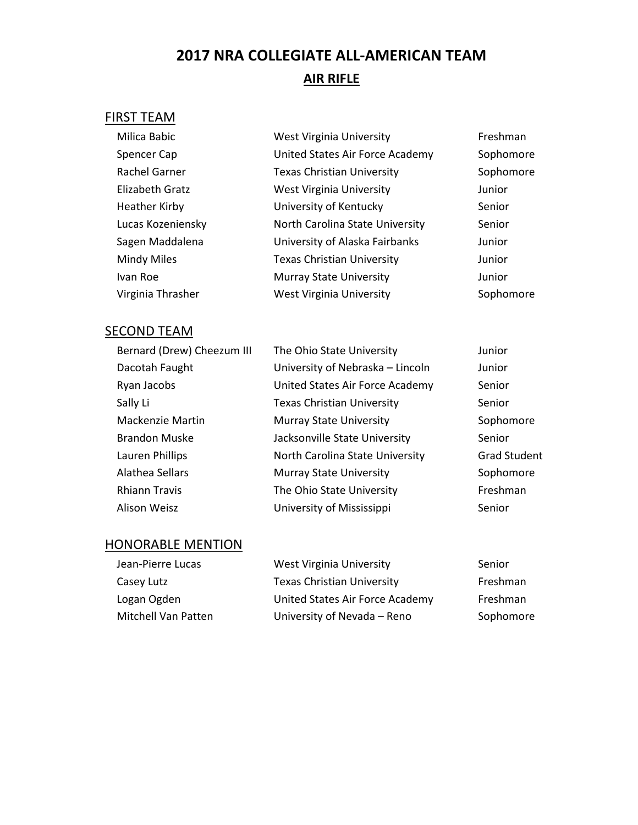# **2017 NRA COLLEGIATE ALL-AMERICAN TEAM AIR RIFLE**

## FIRST TEAM

| Milica Babic         | <b>West Virginia University</b>   | Freshman  |
|----------------------|-----------------------------------|-----------|
| Spencer Cap          | United States Air Force Academy   | Sophomore |
| <b>Rachel Garner</b> | <b>Texas Christian University</b> | Sophomore |
| Elizabeth Gratz      | <b>West Virginia University</b>   | Junior    |
| <b>Heather Kirby</b> | University of Kentucky            | Senior    |
| Lucas Kozeniensky    | North Carolina State University   | Senior    |
| Sagen Maddalena      | University of Alaska Fairbanks    | Junior    |
| Mindy Miles          | <b>Texas Christian University</b> | Junior    |
| Ivan Roe             | <b>Murray State University</b>    | Junior    |
| Virginia Thrasher    | <b>West Virginia University</b>   | Sophomore |

## **SECOND TEAM**

| Bernard (Drew) Cheezum III | The Ohio State University         | Junior              |
|----------------------------|-----------------------------------|---------------------|
| Dacotah Faught             | University of Nebraska - Lincoln  | Junior              |
| Ryan Jacobs                | United States Air Force Academy   | Senior              |
| Sally Li                   | <b>Texas Christian University</b> | Senior              |
| Mackenzie Martin           | <b>Murray State University</b>    | Sophomore           |
| <b>Brandon Muske</b>       | Jacksonville State University     | Senior              |
| Lauren Phillips            | North Carolina State University   | <b>Grad Student</b> |
| Alathea Sellars            | <b>Murray State University</b>    | Sophomore           |
| <b>Rhiann Travis</b>       | The Ohio State University         | Freshman            |
| Alison Weisz               | University of Mississippi         | Senior              |

| Jean-Pierre Lucas   | West Virginia University          | Senior    |
|---------------------|-----------------------------------|-----------|
| Casey Lutz          | <b>Texas Christian University</b> | Freshman  |
| Logan Ogden         | United States Air Force Academy   | Freshman  |
| Mitchell Van Patten | University of Nevada - Reno       | Sophomore |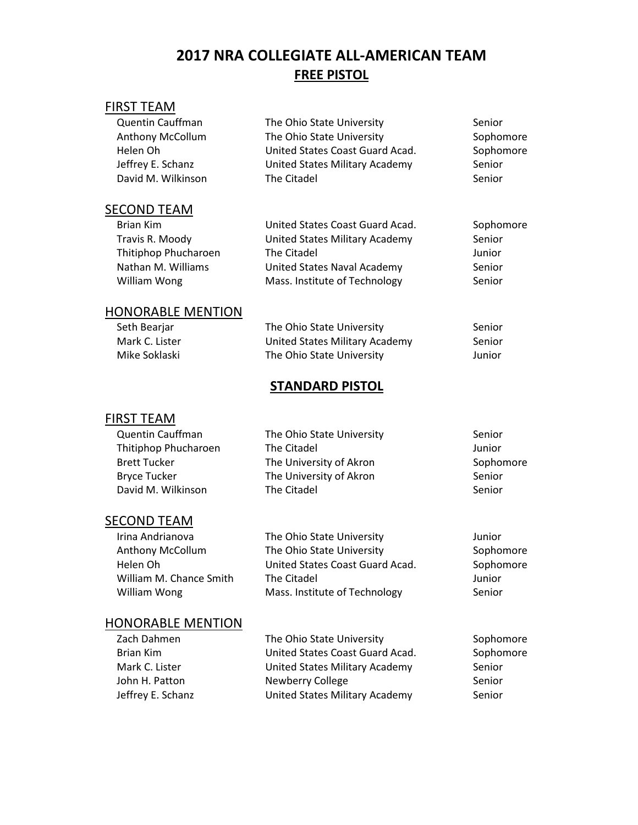## **2017 NRA COLLEGIATE ALL-AMERICAN TEAM FREE PISTOL**

## FIRST TEAM

| <b>Quentin Cauffman</b><br>Anthony McCollum<br>Helen Oh<br>Jeffrey E. Schanz<br>David M. Wilkinson | The Ohio State University<br>The Ohio State University<br>United States Coast Guard Acad.<br>United States Military Academy<br>The Citadel | Senior<br>Sophomore<br>Sophomore<br>Senior<br>Senior |
|----------------------------------------------------------------------------------------------------|--------------------------------------------------------------------------------------------------------------------------------------------|------------------------------------------------------|
|                                                                                                    |                                                                                                                                            |                                                      |
| SECOND TEAM                                                                                        |                                                                                                                                            |                                                      |
| <b>Brian Kim</b>                                                                                   | United States Coast Guard Acad.                                                                                                            | Sophomore                                            |
| Travis R. Moody                                                                                    | United States Military Academy                                                                                                             | Senior                                               |
| Thitiphop Phucharoen                                                                               | The Citadel                                                                                                                                | Junior                                               |
| Nathan M. Williams                                                                                 | United States Naval Academy                                                                                                                | Senior                                               |
| William Wong                                                                                       | Mass. Institute of Technology                                                                                                              | Senior                                               |
| <b>HONORABLE MENTION</b>                                                                           |                                                                                                                                            |                                                      |
| Seth Bearjar                                                                                       | The Ohio State University                                                                                                                  | Senior                                               |
| Mark C. Lister                                                                                     | United States Military Academy                                                                                                             | Senior                                               |
| Mike Soklaski                                                                                      | The Ohio State University                                                                                                                  | Junior                                               |
|                                                                                                    | <b>STANDARD PISTOL</b>                                                                                                                     |                                                      |
| FIRST TEAM                                                                                         |                                                                                                                                            |                                                      |
| <b>Quentin Cauffman</b>                                                                            | The Ohio State University                                                                                                                  | Senior                                               |
| Thitiphop Phucharoen                                                                               | The Citadel                                                                                                                                | Junior                                               |
| <b>Brett Tucker</b>                                                                                | The University of Akron                                                                                                                    | Sophomore                                            |
| <b>Bryce Tucker</b>                                                                                | The University of Akron                                                                                                                    | Senior                                               |
| David M. Wilkinson                                                                                 | The Citadel                                                                                                                                | Senior                                               |

#### **SECOND TEAM**

| Irina Andrianova        | The Ohio State University       | Junior    |
|-------------------------|---------------------------------|-----------|
| <b>Anthony McCollum</b> | The Ohio State University       | Sophomore |
| Helen Oh                | United States Coast Guard Acad. | Sophomore |
| William M. Chance Smith | The Citadel                     | Junior    |
| William Wong            | Mass. Institute of Technology   | Senior    |
|                         |                                 |           |

| Zach Dahmen       | The Ohio State University       | Sophomore |
|-------------------|---------------------------------|-----------|
| Brian Kim         | United States Coast Guard Acad. | Sophomore |
| Mark C. Lister    | United States Military Academy  | Senior    |
| John H. Patton    | Newberry College                | Senior    |
| Jeffrey E. Schanz | United States Military Academy  | Senior    |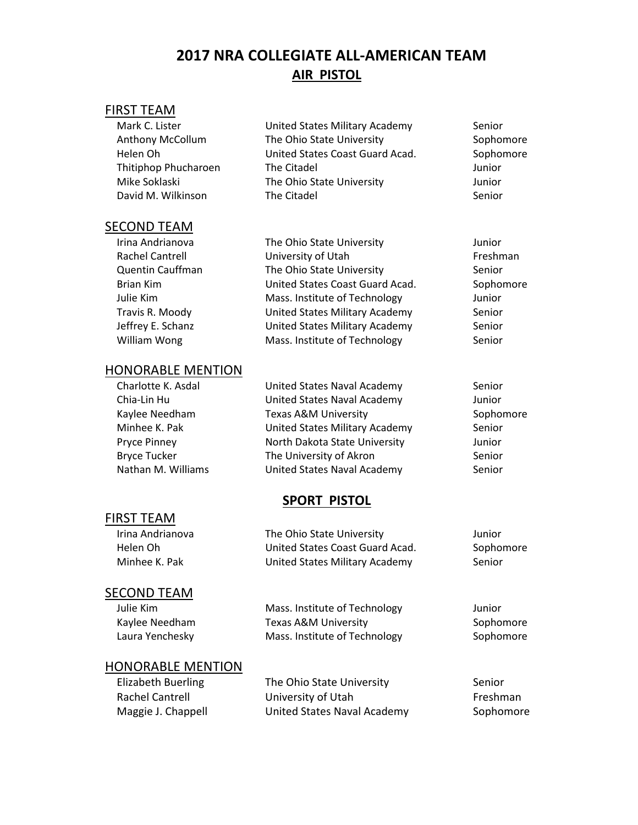## **2017 NRA COLLEGIATE ALL-AMERICAN TEAM AIR PISTOL**

#### FIRST TEAM

| Mark C. Lister          |   |
|-------------------------|---|
| <b>Anthony McCollum</b> |   |
| Helen Oh                | ı |
| Thitiphop Phucharoen    |   |
| Mike Soklaski           | ٦ |
| David M. Wilkinson      |   |

#### **SECOND TEAM**

| Irina Andrianova       | The Ohio State University       | Junior   |
|------------------------|---------------------------------|----------|
| <b>Rachel Cantrell</b> | University of Utah              | Freshman |
| Quentin Cauffman       | The Ohio State University       | Senior   |
| <b>Brian Kim</b>       | United States Coast Guard Acad. | Sophomor |
| Julie Kim              | Mass. Institute of Technology   | Junior   |
| Travis R. Moody        | United States Military Academy  | Senior   |
| Jeffrey E. Schanz      | United States Military Academy  | Senior   |
| William Wong           | Mass. Institute of Technology   | Senior   |
|                        |                                 |          |

## HONORABLE MENTION

| Charlotte K. Asdal  | United States Naval Academy    | Senior |
|---------------------|--------------------------------|--------|
| Chia-Lin Hu         | United States Naval Academy    | Junior |
| Kaylee Needham      | Texas A&M University           | Sophor |
| Minhee K. Pak       | United States Military Academy | Senior |
| Pryce Pinney        | North Dakota State University  | Junior |
| <b>Bryce Tucker</b> | The University of Akron        | Senior |
| Nathan M. Williams  | United States Naval Academy    | Senior |
|                     |                                |        |

## **SPORT PISTOL**

## FIRST TEAM

| Irina Andrianova | The Ohio State University       | Junior    |
|------------------|---------------------------------|-----------|
| Helen Oh         | United States Coast Guard Acad. | Sophomore |
| Minhee K. Pak    | United States Military Academy  | Senior    |
|                  |                                 |           |

#### SECOND TEAM

| Julie Kim       | Mass. Institute of Technology | Junior    |
|-----------------|-------------------------------|-----------|
| Kaylee Needham  | Texas A&M University          | Sophomore |
| Laura Yenchesky | Mass. Institute of Technology | Sophomore |

## HONORABLE MENTION

| Elizabeth Buerling | The Ohio State University   | Senior    |
|--------------------|-----------------------------|-----------|
| Rachel Cantrell    | University of Utah          | Freshman  |
| Maggie J. Chappell | United States Naval Academy | Sophomore |

United States Military Academy Senior The Ohio State University **Sophomore** United States Coast Guard Acad. Sophomore The Citadel **The Citadel** Junior The Ohio State University **The Ohio State University** Junior **David M. Wilkinson The Citadel Senior** 

Acad. Sophomore

Sophomore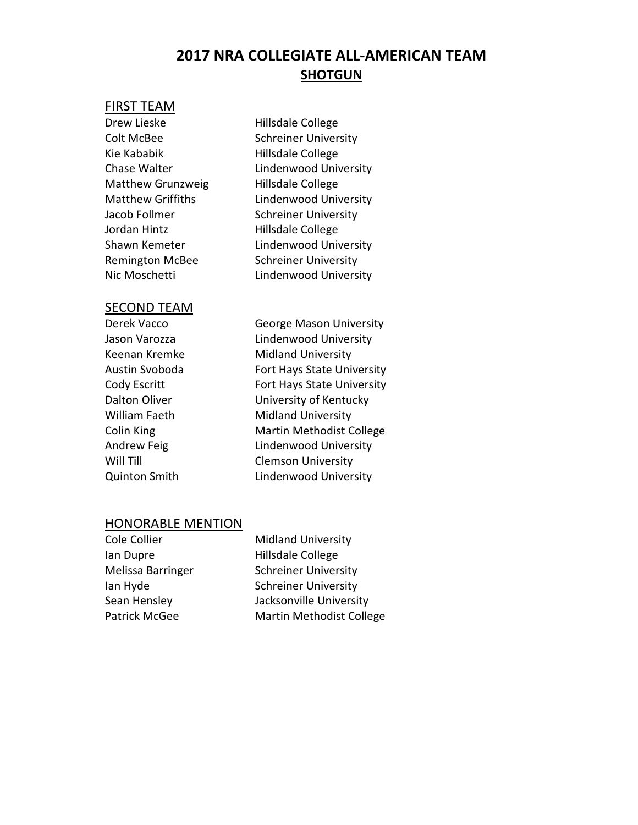## **2017 NRA COLLEGIATE ALL-AMERICAN TEAM SHOTGUN**

#### FIRST TEAM

Drew Lieske Hillsdale College Colt McBee Schreiner University Kie Kababik Hillsdale College Matthew Grunzweig Hillsdale College Jacob Follmer Schreiner University Jordan Hintz Hillsdale College Remington McBee Schreiner University

Chase Walter **Lindenwood University** Matthew Griffiths Lindenwood University Shawn Kemeter **Lindenwood University** Nic Moschetti Lindenwood University

#### SECOND TEAM

| Derek Vacco        |
|--------------------|
| Jason Varozza      |
| Keenan Kremke      |
| Austin Svoboda     |
| Cody Escritt       |
| Dalton Oliver      |
| William Faeth      |
| Colin King         |
| <b>Andrew Feig</b> |
| Will Till          |
| Quinton Smith      |

George Mason University Lindenwood University Midland University Fort Hays State University Fort Hays State University University of Kentucky Midland University Martin Methodist College Lindenwood University **Clemson University** Lindenwood University

| Cole Collier      | <b>Midland University</b>       |
|-------------------|---------------------------------|
| lan Dupre         | Hillsdale College               |
| Melissa Barringer | <b>Schreiner University</b>     |
| lan Hyde          | <b>Schreiner University</b>     |
| Sean Hensley      | Jacksonville University         |
| Patrick McGee     | <b>Martin Methodist College</b> |
|                   |                                 |